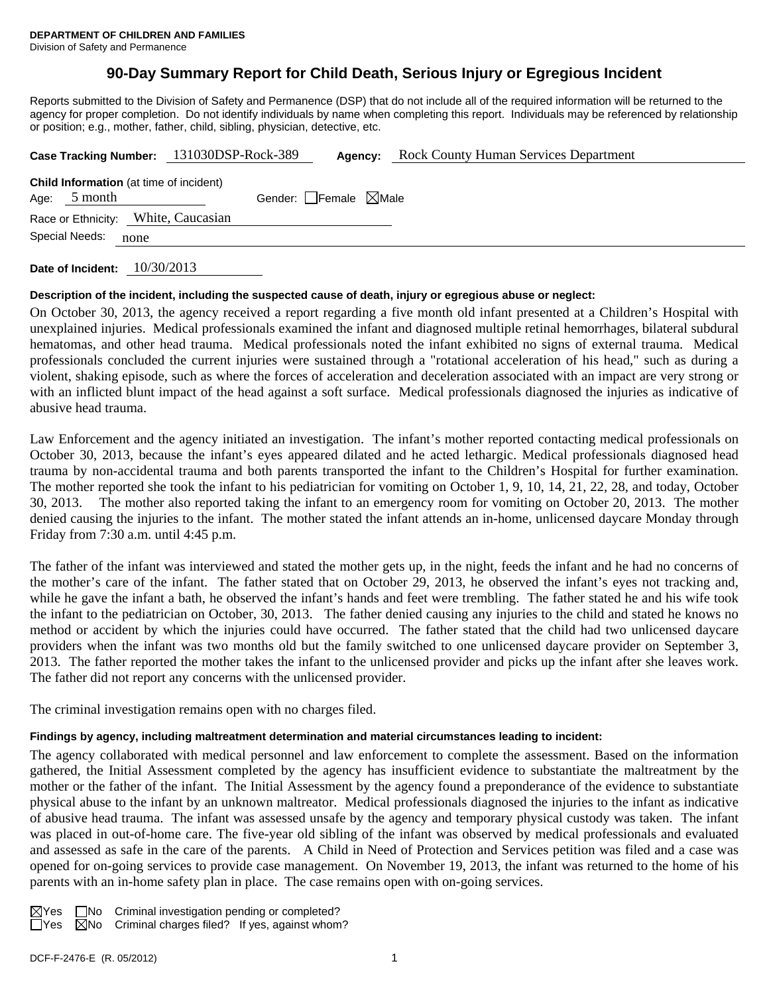# **90-Day Summary Report for Child Death, Serious Injury or Egregious Incident**

Reports submitted to the Division of Safety and Permanence (DSP) that do not include all of the required information will be returned to the agency for proper completion. Do not identify individuals by name when completing this report. Individuals may be referenced by relationship or position; e.g., mother, father, child, sibling, physician, detective, etc.

|      |                | Case Tracking Number: 131030DSP-Rock-389       | Agency:                         | <b>Rock County Human Services Department</b> |
|------|----------------|------------------------------------------------|---------------------------------|----------------------------------------------|
| Age: | 5 month        | <b>Child Information</b> (at time of incident) | Gender: Female $\boxtimes$ Male |                                              |
|      |                | Race or Ethnicity: White, Caucasian            |                                 |                                              |
|      | Special Needs: | none                                           |                                 |                                              |

**Date of Incident:** 10/30/2013

## **Description of the incident, including the suspected cause of death, injury or egregious abuse or neglect:**

On October 30, 2013, the agency received a report regarding a five month old infant presented at a Children's Hospital with unexplained injuries. Medical professionals examined the infant and diagnosed multiple retinal hemorrhages, bilateral subdural hematomas, and other head trauma. Medical professionals noted the infant exhibited no signs of external trauma. Medical professionals concluded the current injuries were sustained through a "rotational acceleration of his head," such as during a violent, shaking episode, such as where the forces of acceleration and deceleration associated with an impact are very strong or with an inflicted blunt impact of the head against a soft surface. Medical professionals diagnosed the injuries as indicative of abusive head trauma.

Law Enforcement and the agency initiated an investigation. The infant's mother reported contacting medical professionals on October 30, 2013, because the infant's eyes appeared dilated and he acted lethargic. Medical professionals diagnosed head trauma by non-accidental trauma and both parents transported the infant to the Children's Hospital for further examination. The mother reported she took the infant to his pediatrician for vomiting on October 1, 9, 10, 14, 21, 22, 28, and today, October 30, 2013. The mother also reported taking the infant to an emergency room for vomiting on October 20, 2013. The mother denied causing the injuries to the infant. The mother stated the infant attends an in-home, unlicensed daycare Monday through Friday from 7:30 a.m. until 4:45 p.m.

The father of the infant was interviewed and stated the mother gets up, in the night, feeds the infant and he had no concerns of the mother's care of the infant. The father stated that on October 29, 2013, he observed the infant's eyes not tracking and, while he gave the infant a bath, he observed the infant's hands and feet were trembling. The father stated he and his wife took the infant to the pediatrician on October, 30, 2013. The father denied causing any injuries to the child and stated he knows no method or accident by which the injuries could have occurred. The father stated that the child had two unlicensed daycare providers when the infant was two months old but the family switched to one unlicensed daycare provider on September 3, 2013. The father reported the mother takes the infant to the unlicensed provider and picks up the infant after she leaves work. The father did not report any concerns with the unlicensed provider.

The criminal investigation remains open with no charges filed.

## **Findings by agency, including maltreatment determination and material circumstances leading to incident:**

The agency collaborated with medical personnel and law enforcement to complete the assessment. Based on the information gathered, the Initial Assessment completed by the agency has insufficient evidence to substantiate the maltreatment by the mother or the father of the infant. The Initial Assessment by the agency found a preponderance of the evidence to substantiate physical abuse to the infant by an unknown maltreator. Medical professionals diagnosed the injuries to the infant as indicative of abusive head trauma. The infant was assessed unsafe by the agency and temporary physical custody was taken. The infant was placed in out-of-home care. The five-year old sibling of the infant was observed by medical professionals and evaluated and assessed as safe in the care of the parents. A Child in Need of Protection and Services petition was filed and a case was opened for on-going services to provide case management. On November 19, 2013, the infant was returned to the home of his parents with an in-home safety plan in place. The case remains open with on-going services.

|  | $\boxtimes$ Yes $\Box$ No Criminal investigation pending or completed? |  |  |  |
|--|------------------------------------------------------------------------|--|--|--|
|  | $\Box$ Yes $\Box$ No Criminal charges filed? If yes, against whom?     |  |  |  |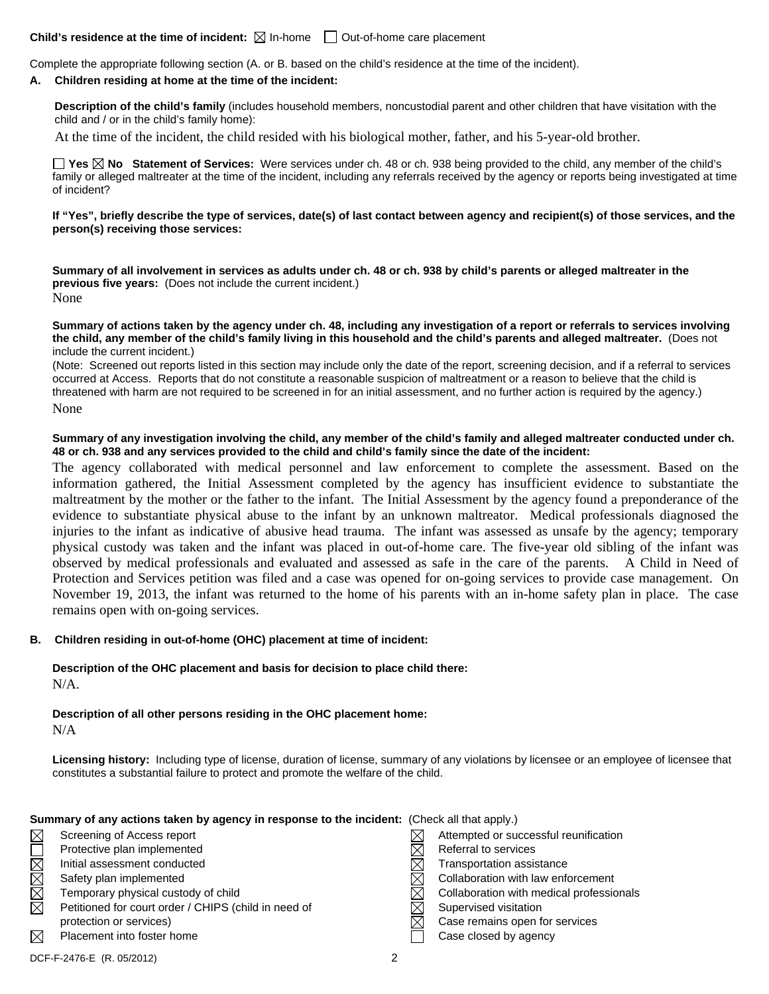## **Child's residence at the time of incident:**  $\boxtimes$  In-home  $\Box$  Out-of-home care placement

Complete the appropriate following section (A. or B. based on the child's residence at the time of the incident).

#### **A. Children residing at home at the time of the incident:**

**Description of the child's family** (includes household members, noncustodial parent and other children that have visitation with the child and / or in the child's family home):

At the time of the incident, the child resided with his biological mother, father, and his 5-year-old brother.

**Yes No Statement of Services:** Were services under ch. 48 or ch. 938 being provided to the child, any member of the child's family or alleged maltreater at the time of the incident, including any referrals received by the agency or reports being investigated at time of incident?

**If "Yes", briefly describe the type of services, date(s) of last contact between agency and recipient(s) of those services, and the person(s) receiving those services:** 

**Summary of all involvement in services as adults under ch. 48 or ch. 938 by child's parents or alleged maltreater in the previous five years:** (Does not include the current incident.)

None

**Summary of actions taken by the agency under ch. 48, including any investigation of a report or referrals to services involving the child, any member of the child's family living in this household and the child's parents and alleged maltreater.** (Does not include the current incident.)

(Note: Screened out reports listed in this section may include only the date of the report, screening decision, and if a referral to services occurred at Access. Reports that do not constitute a reasonable suspicion of maltreatment or a reason to believe that the child is threatened with harm are not required to be screened in for an initial assessment, and no further action is required by the agency.)

None

### **Summary of any investigation involving the child, any member of the child's family and alleged maltreater conducted under ch. 48 or ch. 938 and any services provided to the child and child's family since the date of the incident:**

The agency collaborated with medical personnel and law enforcement to complete the assessment. Based on the information gathered, the Initial Assessment completed by the agency has insufficient evidence to substantiate the maltreatment by the mother or the father to the infant. The Initial Assessment by the agency found a preponderance of the evidence to substantiate physical abuse to the infant by an unknown maltreator. Medical professionals diagnosed the injuries to the infant as indicative of abusive head trauma. The infant was assessed as unsafe by the agency; temporary physical custody was taken and the infant was placed in out-of-home care. The five-year old sibling of the infant was observed by medical professionals and evaluated and assessed as safe in the care of the parents. A Child in Need of Protection and Services petition was filed and a case was opened for on-going services to provide case management. On November 19, 2013, the infant was returned to the home of his parents with an in-home safety plan in place. The case remains open with on-going services.

## **B. Children residing in out-of-home (OHC) placement at time of incident:**

**Description of the OHC placement and basis for decision to place child there:** N/A.

**Description of all other persons residing in the OHC placement home:**  $N/A$ 

**Licensing history:** Including type of license, duration of license, summary of any violations by licensee or an employee of licensee that constitutes a substantial failure to protect and promote the welfare of the child.

#### **Summary of any actions taken by agency in response to the incident:** (Check all that apply.)

| $\boxtimes$ | Screening of Access report                           | Attempted or successful reunification    |
|-------------|------------------------------------------------------|------------------------------------------|
|             | Protective plan implemented                          | Referral to services                     |
| $\boxtimes$ | Initial assessment conducted                         | Transportation assistance                |
| $\boxtimes$ | Safety plan implemented                              | Collaboration with law enforcement       |
| $\boxtimes$ | Temporary physical custody of child                  | Collaboration with medical professionals |
| $\boxtimes$ | Petitioned for court order / CHIPS (child in need of | Supervised visitation                    |
|             | protection or services)                              | Case remains open for services           |
| $\boxtimes$ | Placement into foster home                           | Case closed by agency                    |